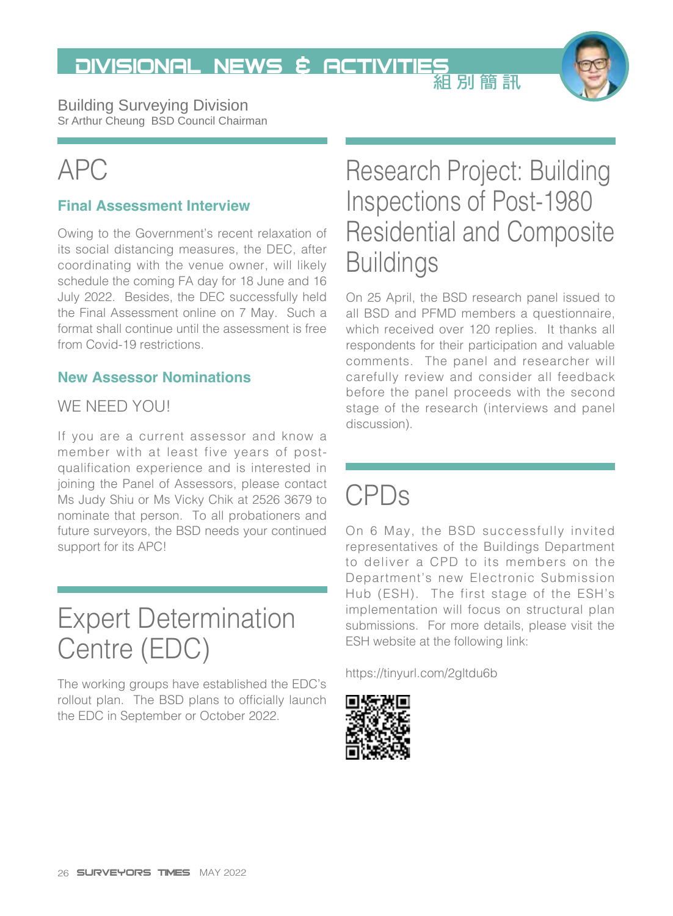DIVISIONAL NEWS & ACTIVITIES<br>組別簡訊



Building Surveying Division Sr Arthur Cheung BSD Council Chairman

# APC

#### **Final Assessment Interview**

Owing to the Government's recent relaxation of its social distancing measures, the DEC, after coordinating with the venue owner, will likely schedule the coming FA day for 18 June and 16 July 2022. Besides, the DEC successfully held the Final Assessment online on 7 May. Such a format shall continue until the assessment is free from Covid-19 restrictions.

#### **New Assessor Nominations**

#### WE NEED YOU!

If you are a current assessor and know a member with at least five years of postqualification experience and is interested in joining the Panel of Assessors, please contact Ms Judy Shiu or Ms Vicky Chik at 2526 3679 to nominate that person. To all probationers and future surveyors, the BSD needs your continued support for its APC!

### Expert Determination Centre (EDC)

The working groups have established the EDC's rollout plan. The BSD plans to officially launch the EDC in September or October 2022.

#### Research Project: Building Inspections of Post-1980 Residential and Composite **Buildings**

On 25 April, the BSD research panel issued to all BSD and PFMD members a questionnaire, which received over 120 replies. It thanks all respondents for their participation and valuable comments. The panel and researcher will carefully review and consider all feedback before the panel proceeds with the second stage of the research (interviews and panel discussion).

### CPDs

On 6 May, the BSD successfully invited representatives of the Buildings Department to deliver a CPD to its members on the Department's new Electronic Submission Hub (ESH). The first stage of the ESH's implementation will focus on structural plan submissions. For more details, please visit the ESH website at the following link:

<https://tinyurl.com/2gltdu6b>